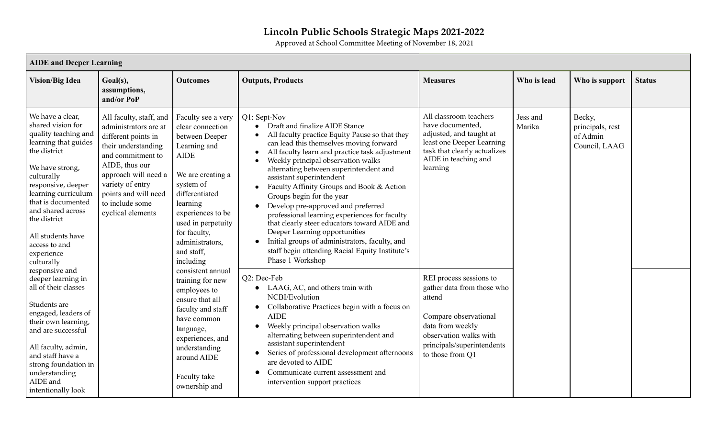## **Lincoln Public Schools Strategic Maps 2021-2022**

Approved at School Committee Meeting of November 18, 2021

|                                                                                                                                                                                                                                                                                                                  | <b>AIDE</b> and Deeper Learning                                                                                                                                                                                                                   |                                                                                                                                                                                                                                                                  |                                                                                                                                                                                                                                                                                                                                                                                                                                                                                                                                                                                                                                                                                      |                                                                                                                                                                                                                                                                                                                                                                                                             |                                                                                                                                                                                          |                                                         |               |  |  |
|------------------------------------------------------------------------------------------------------------------------------------------------------------------------------------------------------------------------------------------------------------------------------------------------------------------|---------------------------------------------------------------------------------------------------------------------------------------------------------------------------------------------------------------------------------------------------|------------------------------------------------------------------------------------------------------------------------------------------------------------------------------------------------------------------------------------------------------------------|--------------------------------------------------------------------------------------------------------------------------------------------------------------------------------------------------------------------------------------------------------------------------------------------------------------------------------------------------------------------------------------------------------------------------------------------------------------------------------------------------------------------------------------------------------------------------------------------------------------------------------------------------------------------------------------|-------------------------------------------------------------------------------------------------------------------------------------------------------------------------------------------------------------------------------------------------------------------------------------------------------------------------------------------------------------------------------------------------------------|------------------------------------------------------------------------------------------------------------------------------------------------------------------------------------------|---------------------------------------------------------|---------------|--|--|
| <b>Vision/Big Idea</b>                                                                                                                                                                                                                                                                                           | Goal(s),<br>assumptions,<br>and/or PoP                                                                                                                                                                                                            | <b>Outcomes</b>                                                                                                                                                                                                                                                  | <b>Outputs, Products</b>                                                                                                                                                                                                                                                                                                                                                                                                                                                                                                                                                                                                                                                             | <b>Measures</b>                                                                                                                                                                                                                                                                                                                                                                                             | Who is lead                                                                                                                                                                              | Who is support                                          | <b>Status</b> |  |  |
| We have a clear,<br>shared vision for<br>quality teaching and<br>learning that guides<br>the district<br>We have strong,<br>culturally<br>responsive, deeper<br>learning curriculum<br>that is documented<br>and shared across<br>the district<br>All students have<br>access to and<br>experience<br>culturally | All faculty, staff, and<br>administrators are at<br>different points in<br>their understanding<br>and commitment to<br>AIDE, thus our<br>approach will need a<br>variety of entry<br>points and will need<br>to include some<br>cyclical elements | Faculty see a very<br>clear connection<br>between Deeper<br>Learning and<br><b>AIDE</b><br>We are creating a<br>system of<br>differentiated<br>learning<br>experiences to be<br>used in perpetuity<br>for faculty,<br>administrators,<br>and staff.<br>including | Q1: Sept-Nov<br>Draft and finalize AIDE Stance<br>All faculty practice Equity Pause so that they<br>can lead this themselves moving forward<br>All faculty learn and practice task adjustment<br>Weekly principal observation walks<br>alternating between superintendent and<br>assistant superintendent<br>Faculty Affinity Groups and Book & Action<br>Groups begin for the year<br>Develop pre-approved and preferred<br>professional learning experiences for faculty<br>that clearly steer educators toward AIDE and<br>Deeper Learning opportunities<br>Initial groups of administrators, faculty, and<br>staff begin attending Racial Equity Institute's<br>Phase 1 Workshop | All classroom teachers<br>have documented,<br>adjusted, and taught at<br>least one Deeper Learning<br>task that clearly actualizes<br>AIDE in teaching and<br>learning                                                                                                                                                                                                                                      | Jess and<br>Marika                                                                                                                                                                       | Becky,<br>principals, rest<br>of Admin<br>Council, LAAG |               |  |  |
| responsive and<br>deeper learning in<br>all of their classes<br>Students are<br>engaged, leaders of<br>their own learning,<br>and are successful<br>All faculty, admin,<br>and staff have a<br>strong foundation in<br>understanding<br>AIDE and<br>intentionally look                                           | consistent annual<br>training for new<br>employees to<br>ensure that all<br>faculty and staff<br>have common<br>language,<br>experiences, and<br>understanding<br>around AIDE<br>Faculty take<br>ownership and                                    |                                                                                                                                                                                                                                                                  |                                                                                                                                                                                                                                                                                                                                                                                                                                                                                                                                                                                                                                                                                      | Q2: Dec-Feb<br>• LAAG, AC, and others train with<br>NCBI/Evolution<br>Collaborative Practices begin with a focus on<br><b>AIDE</b><br>Weekly principal observation walks<br>$\bullet$<br>alternating between superintendent and<br>assistant superintendent<br>Series of professional development afternoons<br>are devoted to AIDE<br>Communicate current assessment and<br>intervention support practices | REI process sessions to<br>gather data from those who<br>attend<br>Compare observational<br>data from weekly<br>observation walks with<br>principals/superintendents<br>to those from Q1 |                                                         |               |  |  |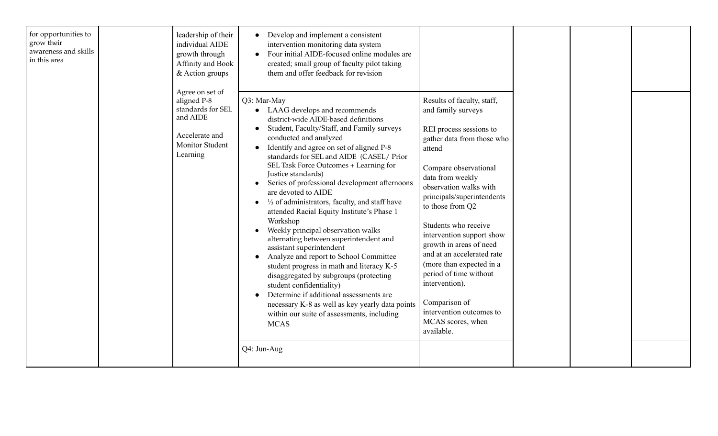| for opportunities to<br>grow their<br>awareness and skills<br>in this area | leadership of their<br>individual AIDE<br>growth through<br>Affinity and Book<br>& Action groups<br>Agree on set of<br>aligned P-8<br>standards for SEL<br>and AIDE<br>Accelerate and<br><b>Monitor Student</b><br>Learning | Develop and implement a consistent<br>$\bullet$<br>intervention monitoring data system<br>Four initial AIDE-focused online modules are<br>created; small group of faculty pilot taking<br>them and offer feedback for revision<br>Q3: Mar-May<br>• LAAG develops and recommends<br>district-wide AIDE-based definitions<br>Student, Faculty/Staff, and Family surveys<br>conducted and analyzed<br>Identify and agree on set of aligned P-8<br>standards for SEL and AIDE (CASEL/ Prior<br>SEL Task Force Outcomes + Learning for<br>Justice standards)<br>Series of professional development afternoons<br>are devoted to AIDE<br>1/3 of administrators, faculty, and staff have<br>attended Racial Equity Institute's Phase 1<br>Workshop<br>Weekly principal observation walks<br>alternating between superintendent and<br>assistant superintendent | Results of faculty, staff,<br>and family surveys<br>REI process sessions to<br>gather data from those who<br>attend<br>Compare observational<br>data from weekly<br>observation walks with<br>principals/superintendents<br>to those from Q2<br>Students who receive<br>intervention support show<br>growth in areas of need<br>and at an accelerated rate |  |  |
|----------------------------------------------------------------------------|-----------------------------------------------------------------------------------------------------------------------------------------------------------------------------------------------------------------------------|---------------------------------------------------------------------------------------------------------------------------------------------------------------------------------------------------------------------------------------------------------------------------------------------------------------------------------------------------------------------------------------------------------------------------------------------------------------------------------------------------------------------------------------------------------------------------------------------------------------------------------------------------------------------------------------------------------------------------------------------------------------------------------------------------------------------------------------------------------|------------------------------------------------------------------------------------------------------------------------------------------------------------------------------------------------------------------------------------------------------------------------------------------------------------------------------------------------------------|--|--|
|                                                                            |                                                                                                                                                                                                                             | Analyze and report to School Committee<br>student progress in math and literacy K-5<br>disaggregated by subgroups (protecting<br>student confidentiality)<br>Determine if additional assessments are<br>necessary K-8 as well as key yearly data points<br>within our suite of assessments, including<br><b>MCAS</b>                                                                                                                                                                                                                                                                                                                                                                                                                                                                                                                                    | (more than expected in a<br>period of time without<br>intervention).<br>Comparison of<br>intervention outcomes to<br>MCAS scores, when<br>available.                                                                                                                                                                                                       |  |  |
|                                                                            |                                                                                                                                                                                                                             | Q4: Jun-Aug                                                                                                                                                                                                                                                                                                                                                                                                                                                                                                                                                                                                                                                                                                                                                                                                                                             |                                                                                                                                                                                                                                                                                                                                                            |  |  |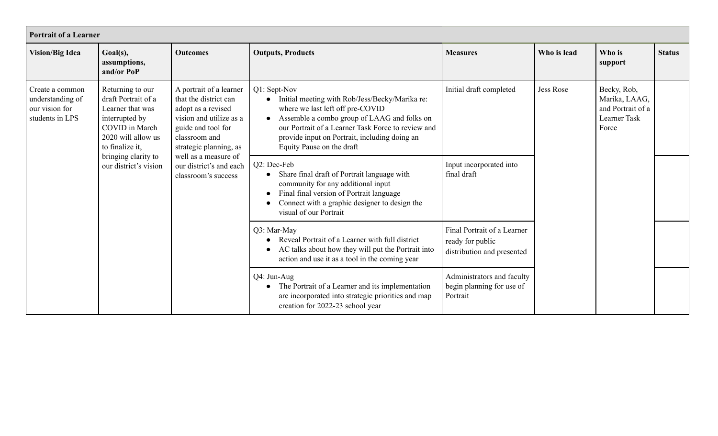| <b>Portrait of a Learner</b>                                             |                                                                                                                                                 |                                                                                                                                                                                                                                                   |                                                                                                                                                                                                                                                                                                    |                                                                               |             |                   |               |  |  |                                                                            |  |
|--------------------------------------------------------------------------|-------------------------------------------------------------------------------------------------------------------------------------------------|---------------------------------------------------------------------------------------------------------------------------------------------------------------------------------------------------------------------------------------------------|----------------------------------------------------------------------------------------------------------------------------------------------------------------------------------------------------------------------------------------------------------------------------------------------------|-------------------------------------------------------------------------------|-------------|-------------------|---------------|--|--|----------------------------------------------------------------------------|--|
| <b>Vision/Big Idea</b>                                                   | Goal(s),<br>assumptions,<br>and/or PoP                                                                                                          | <b>Outcomes</b>                                                                                                                                                                                                                                   | <b>Outputs, Products</b>                                                                                                                                                                                                                                                                           | <b>Measures</b>                                                               | Who is lead | Who is<br>support | <b>Status</b> |  |  |                                                                            |  |
| Create a common<br>understanding of<br>our vision for<br>students in LPS | Returning to our<br>draft Portrait of a<br>Learner that was<br>interrupted by<br><b>COVID</b> in March<br>2020 will allow us<br>to finalize it, | A portrait of a learner<br>that the district can<br>adopt as a revised<br>vision and utilize as a<br>guide and tool for<br>classroom and<br>strategic planning, as                                                                                | Q1: Sept-Nov<br>Initial meeting with Rob/Jess/Becky/Marika re:<br>where we last left off pre-COVID<br>Assemble a combo group of LAAG and folks on<br>$\bullet$<br>our Portrait of a Learner Task Force to review and<br>provide input on Portrait, including doing an<br>Equity Pause on the draft | Initial draft completed<br>Jess Rose                                          |             |                   |               |  |  | Becky, Rob,<br>Marika, LAAG,<br>and Portrait of a<br>Learner Task<br>Force |  |
|                                                                          | bringing clarity to<br>well as a measure of<br>our district's vision<br>our district's and each<br>classroom's success                          | Q2: Dec-Feb<br>Share final draft of Portrait language with<br>$\bullet$<br>community for any additional input<br>Final final version of Portrait language<br>$\bullet$<br>Connect with a graphic designer to design the<br>visual of our Portrait | Input incorporated into<br>final draft                                                                                                                                                                                                                                                             |                                                                               |             |                   |               |  |  |                                                                            |  |
|                                                                          |                                                                                                                                                 |                                                                                                                                                                                                                                                   | Q3: Mar-May<br>Reveal Portrait of a Learner with full district<br>$\bullet$<br>AC talks about how they will put the Portrait into<br>$\bullet$<br>action and use it as a tool in the coming year                                                                                                   | Final Portrait of a Learner<br>ready for public<br>distribution and presented |             |                   |               |  |  |                                                                            |  |
|                                                                          |                                                                                                                                                 |                                                                                                                                                                                                                                                   | Q4: Jun-Aug<br>The Portrait of a Learner and its implementation<br>$\bullet$<br>are incorporated into strategic priorities and map<br>creation for 2022-23 school year                                                                                                                             | Administrators and faculty<br>begin planning for use of<br>Portrait           |             |                   |               |  |  |                                                                            |  |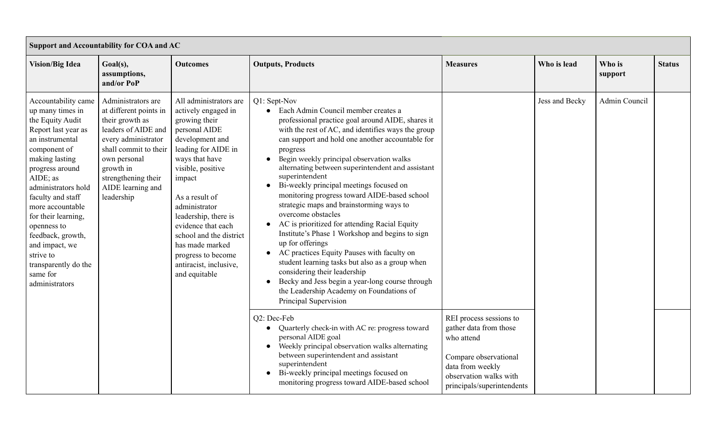| Support and Accountability for COA and AC                                                                                                                                                                                                                                                                                                                                              |                                                                                                                                                                                                                               |                                                                                                                                                                                                                                                                                                                                                                            |                                                                                                                                                                                                                                                                                                                                                                                                                                                                                                                                                                                                                                                                                                                                                                                                                                                                                                                                         |                                                                                                                                                                      |                |                   |               |  |
|----------------------------------------------------------------------------------------------------------------------------------------------------------------------------------------------------------------------------------------------------------------------------------------------------------------------------------------------------------------------------------------|-------------------------------------------------------------------------------------------------------------------------------------------------------------------------------------------------------------------------------|----------------------------------------------------------------------------------------------------------------------------------------------------------------------------------------------------------------------------------------------------------------------------------------------------------------------------------------------------------------------------|-----------------------------------------------------------------------------------------------------------------------------------------------------------------------------------------------------------------------------------------------------------------------------------------------------------------------------------------------------------------------------------------------------------------------------------------------------------------------------------------------------------------------------------------------------------------------------------------------------------------------------------------------------------------------------------------------------------------------------------------------------------------------------------------------------------------------------------------------------------------------------------------------------------------------------------------|----------------------------------------------------------------------------------------------------------------------------------------------------------------------|----------------|-------------------|---------------|--|
| <b>Vision/Big Idea</b>                                                                                                                                                                                                                                                                                                                                                                 | Goal(s),<br>assumptions,<br>and/or PoP                                                                                                                                                                                        | <b>Outcomes</b>                                                                                                                                                                                                                                                                                                                                                            | <b>Outputs, Products</b>                                                                                                                                                                                                                                                                                                                                                                                                                                                                                                                                                                                                                                                                                                                                                                                                                                                                                                                | <b>Measures</b>                                                                                                                                                      | Who is lead    | Who is<br>support | <b>Status</b> |  |
| Accountability came<br>up many times in<br>the Equity Audit<br>Report last year as<br>an instrumental<br>component of<br>making lasting<br>progress around<br>AIDE; as<br>administrators hold<br>faculty and staff<br>more accountable<br>for their learning,<br>openness to<br>feedback, growth,<br>and impact, we<br>strive to<br>transparently do the<br>same for<br>administrators | Administrators are<br>at different points in<br>their growth as<br>leaders of AIDE and<br>every administrator<br>shall commit to their<br>own personal<br>growth in<br>strengthening their<br>AIDE learning and<br>leadership | All administrators are<br>actively engaged in<br>growing their<br>personal AIDE<br>development and<br>leading for AIDE in<br>ways that have<br>visible, positive<br>impact<br>As a result of<br>administrator<br>leadership, there is<br>evidence that each<br>school and the district<br>has made marked<br>progress to become<br>antiracist, inclusive,<br>and equitable | Q1: Sept-Nov<br>• Each Admin Council member creates a<br>professional practice goal around AIDE, shares it<br>with the rest of AC, and identifies ways the group<br>can support and hold one another accountable for<br>progress<br>Begin weekly principal observation walks<br>$\bullet$<br>alternating between superintendent and assistant<br>superintendent<br>Bi-weekly principal meetings focused on<br>$\bullet$<br>monitoring progress toward AIDE-based school<br>strategic maps and brainstorming ways to<br>overcome obstacles<br>AC is prioritized for attending Racial Equity<br>Institute's Phase 1 Workshop and begins to sign<br>up for offerings<br>AC practices Equity Pauses with faculty on<br>$\bullet$<br>student learning tasks but also as a group when<br>considering their leadership<br>Becky and Jess begin a year-long course through<br>the Leadership Academy on Foundations of<br>Principal Supervision |                                                                                                                                                                      | Jess and Becky | Admin Council     |               |  |
|                                                                                                                                                                                                                                                                                                                                                                                        |                                                                                                                                                                                                                               |                                                                                                                                                                                                                                                                                                                                                                            | Q2: Dec-Feb<br>Quarterly check-in with AC re: progress toward<br>personal AIDE goal<br>Weekly principal observation walks alternating<br>between superintendent and assistant<br>superintendent<br>Bi-weekly principal meetings focused on<br>$\bullet$<br>monitoring progress toward AIDE-based school                                                                                                                                                                                                                                                                                                                                                                                                                                                                                                                                                                                                                                 | REI process sessions to<br>gather data from those<br>who attend<br>Compare observational<br>data from weekly<br>observation walks with<br>principals/superintendents |                |                   |               |  |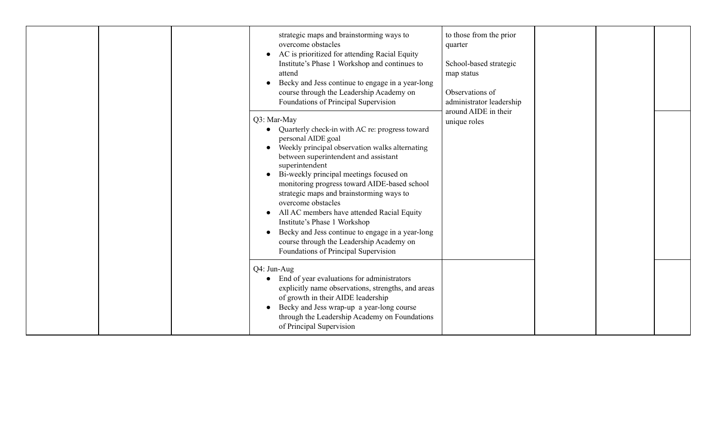|  | strategic maps and brainstorming ways to<br>overcome obstacles<br>AC is prioritized for attending Racial Equity<br>$\bullet$<br>Institute's Phase 1 Workshop and continues to<br>attend<br>Becky and Jess continue to engage in a year-long<br>course through the Leadership Academy on<br>Foundations of Principal Supervision<br>Q3: Mar-May<br>Quarterly check-in with AC re: progress toward<br>personal AIDE goal<br>Weekly principal observation walks alternating<br>$\bullet$<br>between superintendent and assistant<br>superintendent<br>Bi-weekly principal meetings focused on<br>monitoring progress toward AIDE-based school<br>strategic maps and brainstorming ways to<br>overcome obstacles<br>All AC members have attended Racial Equity<br>Institute's Phase 1 Workshop<br>Becky and Jess continue to engage in a year-long<br>course through the Leadership Academy on<br>Foundations of Principal Supervision | to those from the prior<br>quarter<br>School-based strategic<br>map status<br>Observations of<br>administrator leadership<br>around AIDE in their<br>unique roles |  |  |
|--|------------------------------------------------------------------------------------------------------------------------------------------------------------------------------------------------------------------------------------------------------------------------------------------------------------------------------------------------------------------------------------------------------------------------------------------------------------------------------------------------------------------------------------------------------------------------------------------------------------------------------------------------------------------------------------------------------------------------------------------------------------------------------------------------------------------------------------------------------------------------------------------------------------------------------------|-------------------------------------------------------------------------------------------------------------------------------------------------------------------|--|--|
|  | Q4: Jun-Aug<br>End of year evaluations for administrators<br>$\bullet$<br>explicitly name observations, strengths, and areas<br>of growth in their AIDE leadership<br>Becky and Jess wrap-up a year-long course<br>through the Leadership Academy on Foundations<br>of Principal Supervision                                                                                                                                                                                                                                                                                                                                                                                                                                                                                                                                                                                                                                       |                                                                                                                                                                   |  |  |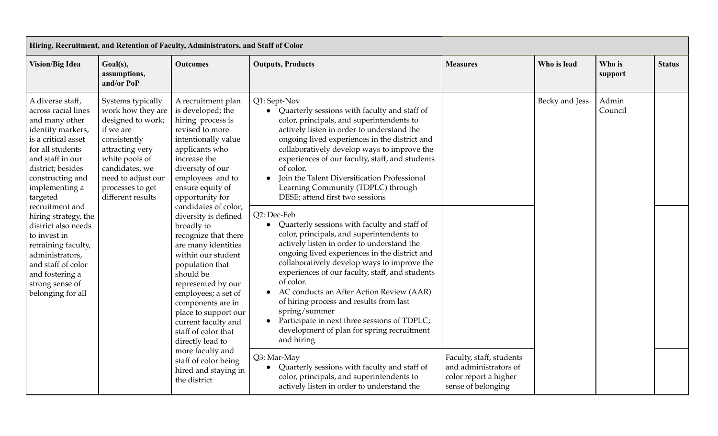|                                                                                                                                                                                                                                                                                                                                                                                                     | Hiring, Recruitment, and Retention of Faculty, Administrators, and Staff of Color                                                                                                 |                                                                                                                                                                                                                                                                                                                                                                                                                                                                                                                                                                                                                                            |                                                                                                                                                                                                                                                                                                                                                                                                                                                                                                                                                                                                                                                                                                                                                                                                        |                                                                                                  |                |                                                                                                                                                                                                                                            |               |  |  |  |
|-----------------------------------------------------------------------------------------------------------------------------------------------------------------------------------------------------------------------------------------------------------------------------------------------------------------------------------------------------------------------------------------------------|-----------------------------------------------------------------------------------------------------------------------------------------------------------------------------------|--------------------------------------------------------------------------------------------------------------------------------------------------------------------------------------------------------------------------------------------------------------------------------------------------------------------------------------------------------------------------------------------------------------------------------------------------------------------------------------------------------------------------------------------------------------------------------------------------------------------------------------------|--------------------------------------------------------------------------------------------------------------------------------------------------------------------------------------------------------------------------------------------------------------------------------------------------------------------------------------------------------------------------------------------------------------------------------------------------------------------------------------------------------------------------------------------------------------------------------------------------------------------------------------------------------------------------------------------------------------------------------------------------------------------------------------------------------|--------------------------------------------------------------------------------------------------|----------------|--------------------------------------------------------------------------------------------------------------------------------------------------------------------------------------------------------------------------------------------|---------------|--|--|--|
| <b>Vision/Big Idea</b>                                                                                                                                                                                                                                                                                                                                                                              | Goal(s),<br>assumptions,<br>and/or PoP                                                                                                                                            | <b>Outcomes</b>                                                                                                                                                                                                                                                                                                                                                                                                                                                                                                                                                                                                                            | <b>Outputs, Products</b>                                                                                                                                                                                                                                                                                                                                                                                                                                                                                                                                                                                                                                                                                                                                                                               | <b>Measures</b>                                                                                  | Who is lead    | Who is<br>support                                                                                                                                                                                                                          | <b>Status</b> |  |  |  |
| A diverse staff,<br>across racial lines<br>and many other<br>identity markers,<br>if we are<br>is a critical asset<br>consistently<br>for all students<br>and staff in our<br>district; besides<br>constructing and<br>implementing a<br>targeted<br>recruitment and<br>hiring strategy, the<br>district also needs<br>to invest in<br>retraining faculty,<br>administrators,<br>and staff of color | Systems typically<br>work how they are<br>designed to work;<br>attracting very<br>white pools of<br>candidates, we<br>need to adjust our<br>processes to get<br>different results | A recruitment plan<br>is developed; the<br>hiring process is<br>revised to more<br>intentionally value<br>applicants who<br>increase the<br>diversity of our<br>employees and to<br>ensure equity of<br>opportunity for<br>candidates of color;<br>diversity is defined<br>broadly to<br>recognize that there<br>are many identities<br>within our student<br>population that<br>should be<br>represented by our<br>employees; a set of<br>components are in<br>place to support our<br>current faculty and<br>staff of color that<br>directly lead to<br>more faculty and<br>staff of color being<br>hired and staying in<br>the district | Q1: Sept-Nov<br>• Quarterly sessions with faculty and staff of<br>color, principals, and superintendents to<br>actively listen in order to understand the<br>ongoing lived experiences in the district and<br>collaboratively develop ways to improve the<br>experiences of our faculty, staff, and students<br>of color.<br>Join the Talent Diversification Professional<br>$\bullet$<br>Learning Community (TDPLC) through<br>DESE; attend first two sessions<br>Q2: Dec-Feb<br>Quarterly sessions with faculty and staff of<br>$\bullet$<br>color, principals, and superintendents to<br>actively listen in order to understand the<br>ongoing lived experiences in the district and<br>collaboratively develop ways to improve the<br>experiences of our faculty, staff, and students<br>of color. |                                                                                                  | Becky and Jess | Admin<br>Council                                                                                                                                                                                                                           |               |  |  |  |
| strong sense of<br>belonging for all                                                                                                                                                                                                                                                                                                                                                                |                                                                                                                                                                                   |                                                                                                                                                                                                                                                                                                                                                                                                                                                                                                                                                                                                                                            |                                                                                                                                                                                                                                                                                                                                                                                                                                                                                                                                                                                                                                                                                                                                                                                                        |                                                                                                  |                | AC conducts an After Action Review (AAR)<br>$\bullet$<br>of hiring process and results from last<br>spring/summer<br>Participate in next three sessions of TDPLC;<br>$\bullet$<br>development of plan for spring recruitment<br>and hiring |               |  |  |  |
|                                                                                                                                                                                                                                                                                                                                                                                                     |                                                                                                                                                                                   |                                                                                                                                                                                                                                                                                                                                                                                                                                                                                                                                                                                                                                            | Q3: Mar-May<br>Quarterly sessions with faculty and staff of<br>$\bullet$<br>color, principals, and superintendents to<br>actively listen in order to understand the                                                                                                                                                                                                                                                                                                                                                                                                                                                                                                                                                                                                                                    | Faculty, staff, students<br>and administrators of<br>color report a higher<br>sense of belonging |                |                                                                                                                                                                                                                                            |               |  |  |  |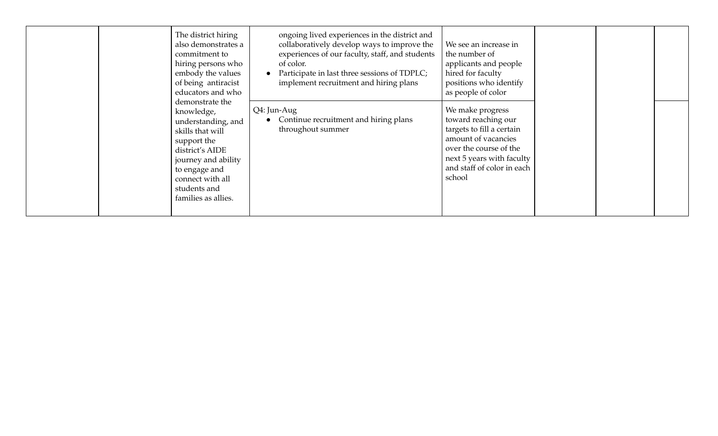| The district hiring<br>also demonstrates a<br>commitment to<br>hiring persons who<br>embody the values<br>of being antiracist<br>educators and who                                                           | ongoing lived experiences in the district and<br>collaboratively develop ways to improve the<br>experiences of our faculty, staff, and students<br>of color.<br>Participate in last three sessions of TDPLC;<br>implement recruitment and hiring plans | We see an increase in<br>the number of<br>applicants and people<br>hired for faculty<br>positions who identify<br>as people of color                                                       |  |  |
|--------------------------------------------------------------------------------------------------------------------------------------------------------------------------------------------------------------|--------------------------------------------------------------------------------------------------------------------------------------------------------------------------------------------------------------------------------------------------------|--------------------------------------------------------------------------------------------------------------------------------------------------------------------------------------------|--|--|
| demonstrate the<br>knowledge,<br>understanding, and<br>skills that will<br>support the<br>district's AIDE<br>journey and ability<br>to engage and<br>connect with all<br>students and<br>families as allies. | Q4: Jun-Aug<br>Continue recruitment and hiring plans<br>throughout summer                                                                                                                                                                              | We make progress<br>toward reaching our<br>targets to fill a certain<br>amount of vacancies<br>over the course of the<br>next 5 years with faculty<br>and staff of color in each<br>school |  |  |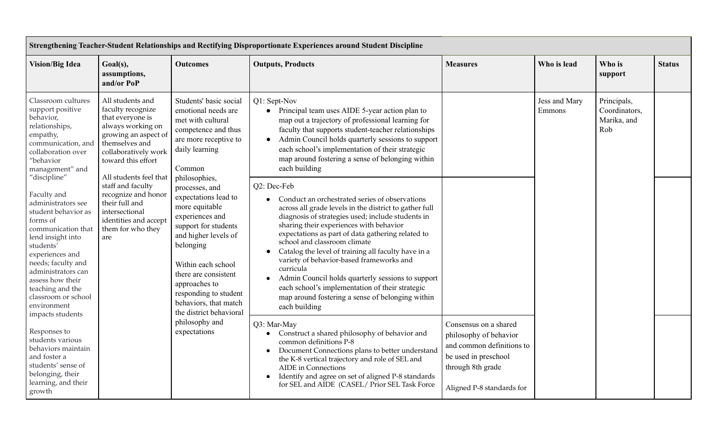| Strengthening Teacher-Student Relationships and Rectifying Disproportionate Experiences around Student Discipline                                                                                                                                                                                             |                                                                                                                                                                        |                                                                                                                                                                                                                                                                                                                                                                                                                                                                                   |                                                                                                                                                                                                                                                                                                                                                                                                                                                                                                                                                                                                                        |                 |                                |                                             |               |  |
|---------------------------------------------------------------------------------------------------------------------------------------------------------------------------------------------------------------------------------------------------------------------------------------------------------------|------------------------------------------------------------------------------------------------------------------------------------------------------------------------|-----------------------------------------------------------------------------------------------------------------------------------------------------------------------------------------------------------------------------------------------------------------------------------------------------------------------------------------------------------------------------------------------------------------------------------------------------------------------------------|------------------------------------------------------------------------------------------------------------------------------------------------------------------------------------------------------------------------------------------------------------------------------------------------------------------------------------------------------------------------------------------------------------------------------------------------------------------------------------------------------------------------------------------------------------------------------------------------------------------------|-----------------|--------------------------------|---------------------------------------------|---------------|--|
| <b>Vision/Big Idea</b>                                                                                                                                                                                                                                                                                        | Goal(s),<br>assumptions,<br>and/or PoP                                                                                                                                 | <b>Outcomes</b>                                                                                                                                                                                                                                                                                                                                                                                                                                                                   | <b>Outputs, Products</b>                                                                                                                                                                                                                                                                                                                                                                                                                                                                                                                                                                                               | <b>Measures</b> | Who is lead                    | Who is<br>support                           | <b>Status</b> |  |
| Classroom cultures<br>support positive<br>behavior,<br>relationships,<br>empathy,<br>communication, and<br>collaboration over<br>"behavior<br>management" and                                                                                                                                                 | All students and<br>faculty recognize<br>that everyone is<br>always working on<br>growing an aspect of<br>themselves and<br>collaboratively work<br>toward this effort | Students' basic social<br>emotional needs are<br>met with cultural<br>competence and thus<br>are more receptive to<br>daily learning<br>Common<br>All students feel that<br>philosophies,<br>processes, and<br>expectations lead to<br>more equitable<br>experiences and<br>support for students<br>and higher levels of<br>belonging<br>Within each school<br>there are consistent<br>approaches to<br>responding to student<br>behaviors, that match<br>the district behavioral | Q1: Sept-Nov<br>• Principal team uses AIDE 5-year action plan to<br>map out a trajectory of professional learning for<br>faculty that supports student-teacher relationships<br>Admin Council holds quarterly sessions to support<br>$\bullet$<br>each school's implementation of their strategic<br>map around fostering a sense of belonging within<br>each building                                                                                                                                                                                                                                                 |                 | Jess and Mary<br>Emmons<br>Rob | Principals,<br>Coordinators,<br>Marika, and |               |  |
| "discipline"<br>Faculty and<br>administrators see<br>student behavior as<br>forms of<br>communication that<br>lend insight into<br>students'<br>experiences and<br>needs; faculty and<br>administrators can<br>assess how their<br>teaching and the<br>classroom or school<br>environment<br>impacts students | staff and faculty<br>recognize and honor<br>their full and<br>intersectional<br>identities and accept<br>them for who they<br>are                                      |                                                                                                                                                                                                                                                                                                                                                                                                                                                                                   | Q2: Dec-Feb<br>Conduct an orchestrated series of observations<br>across all grade levels in the district to gather full<br>diagnosis of strategies used; include students in<br>sharing their experiences with behavior<br>expectations as part of data gathering related to<br>school and classroom climate<br>Catalog the level of training all faculty have in a<br>$\bullet$<br>variety of behavior-based frameworks and<br>curricula<br>Admin Council holds quarterly sessions to support<br>each school's implementation of their strategic<br>map around fostering a sense of belonging within<br>each building |                 |                                |                                             |               |  |
| Responses to<br>students various<br>behaviors maintain<br>and foster a<br>students' sense of<br>belonging, their<br>learning, and their<br>growth                                                                                                                                                             | philosophy and<br>expectations                                                                                                                                         | Q3: Mar-May<br>Construct a shared philosophy of behavior and<br>$\bullet$<br>common definitions P-8<br>Document Connections plans to better understand<br>$\bullet$<br>the K-8 vertical trajectory and role of SEL and<br><b>AIDE</b> in Connections<br>Identify and agree on set of aligned P-8 standards<br>$\bullet$<br>for SEL and AIDE (CASEL/ Prior SEL Task Force                                                                                                          | Consensus on a shared<br>philosophy of behavior<br>and common definitions to<br>be used in preschool<br>through 8th grade<br>Aligned P-8 standards for                                                                                                                                                                                                                                                                                                                                                                                                                                                                 |                 |                                |                                             |               |  |